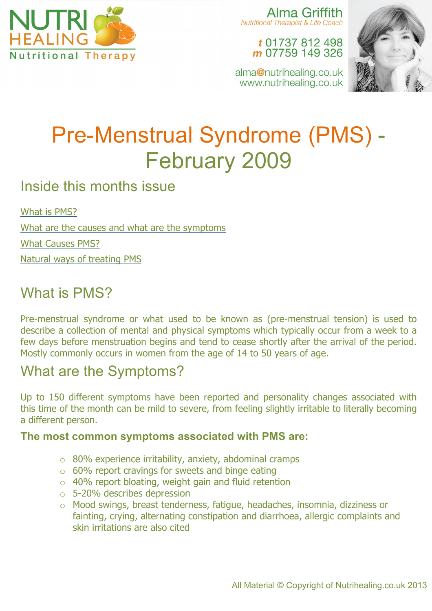

Alma Griffith **Nutritional Therapist & Life Coach** 

### t 01737 812 498 m 07759 149 326

alma@nutrihealing.co.uk www.nutrihealing.co.uk



# Pre-Menstrual Syndrome (PMS) - February 2009

### Inside this months issue

What is PMS? What are the causes and what are the symptoms What Causes PMS? Natural ways of treating PMS

### What is PMS?

Pre-menstrual syndrome or what used to be known as (pre-menstrual tension) is used to describe a collection of mental and physical symptoms which typically occur from a week to a few days before menstruation begins and tend to cease shortly after the arrival of the period. Mostly commonly occurs in women from the age of 14 to 50 years of age.

### What are the Symptoms?

Up to 150 different symptoms have been reported and personality changes associated with this time of the month can be mild to severe, from feeling slightly irritable to literally becoming a different person.

### **The most common symptoms associated with PMS are:**

- o 80% experience irritability, anxiety, abdominal cramps
- o 60% report cravings for sweets and binge eating
- $\circ$  40% report bloating, weight gain and fluid retention
- o 5-20% describes depression
- o Mood swings, breast tenderness, fatigue, headaches, insomnia, dizziness or fainting, crying, alternating constipation and diarrhoea, allergic complaints and skin irritations are also cited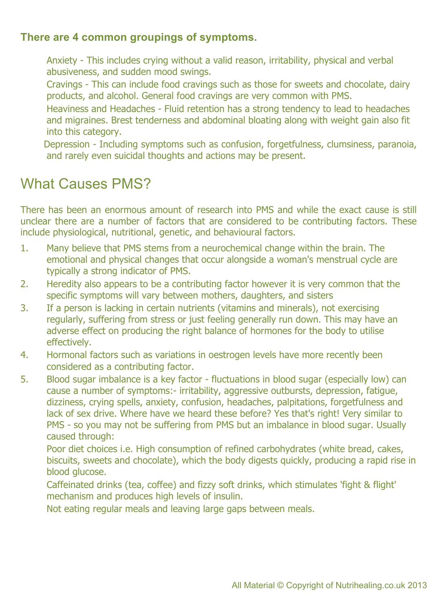#### **There are 4 common groupings of symptoms.**

- Anxiety This includes crying without a valid reason, irritability, physical and verbal abusiveness, and sudden mood swings.
- Cravings This can include food cravings such as those for sweets and chocolate, dairy products, and alcohol. General food cravings are very common with PMS.
- Heaviness and Headaches Fluid retention has a strong tendency to lead to headaches and migraines. Brest tenderness and abdominal bloating along with weight gain also fit into this category.
- Depression Including symptoms such as confusion, forgetfulness, clumsiness, paranoia, and rarely even suicidal thoughts and actions may be present.

### What Causes PMS?

There has been an enormous amount of research into PMS and while the exact cause is still unclear there are a number of factors that are considered to be contributing factors. These include physiological, nutritional, genetic, and behavioural factors.

- 1. Many believe that PMS stems from a neurochemical change within the brain. The emotional and physical changes that occur alongside a woman's menstrual cycle are typically a strong indicator of PMS.
- 2. Heredity also appears to be a contributing factor however it is very common that the specific symptoms will vary between mothers, daughters, and sisters
- 3. If a person is lacking in certain nutrients (vitamins and minerals), not exercising regularly, suffering from stress or just feeling generally run down. This may have an adverse effect on producing the right balance of hormones for the body to utilise effectively.
- 4. Hormonal factors such as variations in oestrogen levels have more recently been considered as a contributing factor.
- 5. Blood sugar imbalance is a key factor fluctuations in blood sugar (especially low) can cause a number of symptoms:- irritability, aggressive outbursts, depression, fatigue, dizziness, crying spells, anxiety, confusion, headaches, palpitations, forgetfulness and lack of sex drive. Where have we heard these before? Yes that's right! Very similar to PMS - so you may not be suffering from PMS but an imbalance in blood sugar. Usually caused through:

Poor diet choices i.e. High consumption of refined carbohydrates (white bread, cakes, biscuits, sweets and chocolate), which the body digests quickly, producing a rapid rise in blood glucose.

Caffeinated drinks (tea, coffee) and fizzy soft drinks, which stimulates 'fight & flight' mechanism and produces high levels of insulin.

Not eating regular meals and leaving large gaps between meals.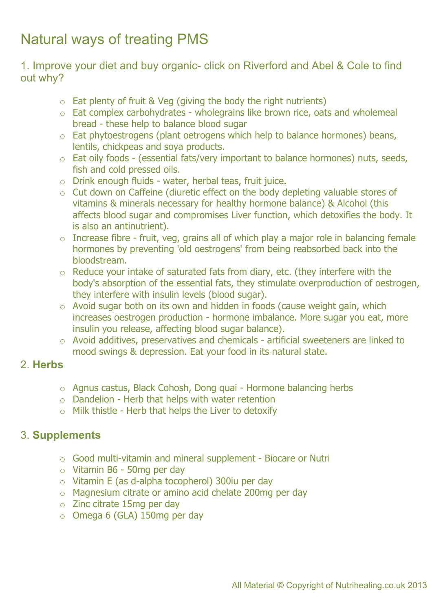## Natural ways of treating PMS

1. Improve your diet and buy organic- click on Riverford and Abel & Cole to find out why?

- $\circ$  Eat plenty of fruit & Veg (giving the body the right nutrients)
- o Eat complex carbohydrates wholegrains like brown rice, oats and wholemeal bread - these help to balance blood sugar
- o Eat phytoestrogens (plant oetrogens which help to balance hormones) beans, lentils, chickpeas and soya products.
- o Eat oily foods (essential fats/very important to balance hormones) nuts, seeds, fish and cold pressed oils.
- o Drink enough fluids water, herbal teas, fruit juice.
- o Cut down on Caffeine (diuretic effect on the body depleting valuable stores of vitamins & minerals necessary for healthy hormone balance) & Alcohol (this affects blood sugar and compromises Liver function, which detoxifies the body. It is also an antinutrient).
- $\circ$  Increase fibre fruit, veg, grains all of which play a major role in balancing female hormones by preventing 'old oestrogens' from being reabsorbed back into the bloodstream.
- $\circ$  Reduce your intake of saturated fats from diary, etc. (they interfere with the body's absorption of the essential fats, they stimulate overproduction of oestrogen, they interfere with insulin levels (blood sugar).
- $\circ$  Avoid sugar both on its own and hidden in foods (cause weight gain, which increases oestrogen production - hormone imbalance. More sugar you eat, more insulin you release, affecting blood sugar balance).
- o Avoid additives, preservatives and chemicals artificial sweeteners are linked to mood swings & depression. Eat your food in its natural state.

#### 2. **Herbs**

- o Agnus castus, Black Cohosh, Dong quai Hormone balancing herbs
- o Dandelion Herb that helps with water retention
- $\circ$  Milk thistle Herb that helps the Liver to detoxify

### 3. **Supplements**

- o Good multi-vitamin and mineral supplement Biocare or Nutri
- o Vitamin B6 50mg per day
- o Vitamin E (as d-alpha tocopherol) 300iu per day
- o Magnesium citrate or amino acid chelate 200mg per day
- o Zinc citrate 15mg per day
- o Omega 6 (GLA) 150mg per day